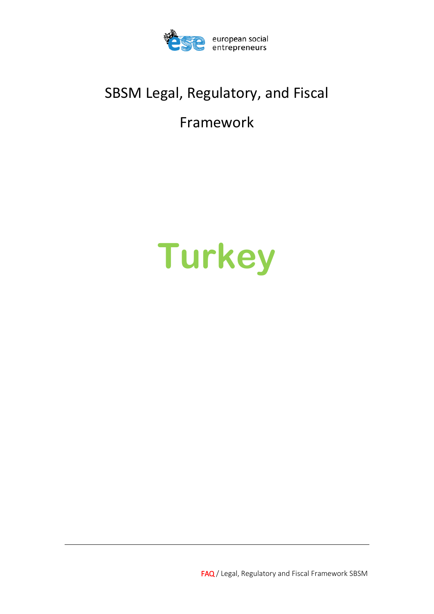

# SBSM Legal, Regulatory, and Fiscal

# Framework

# **Turkey**

FAQ / Legal, Regulatory and Fiscal Framework SBSM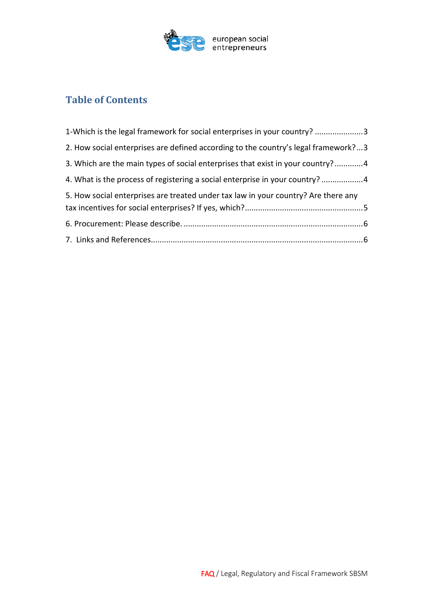

# **Table of Contents**

| 1-Which is the legal framework for social enterprises in your country? 3           |  |
|------------------------------------------------------------------------------------|--|
| 2. How social enterprises are defined according to the country's legal framework?3 |  |
| 3. Which are the main types of social enterprises that exist in your country?4     |  |
| 4. What is the process of registering a social enterprise in your country? 4       |  |
| 5. How social enterprises are treated under tax law in your country? Are there any |  |
|                                                                                    |  |
|                                                                                    |  |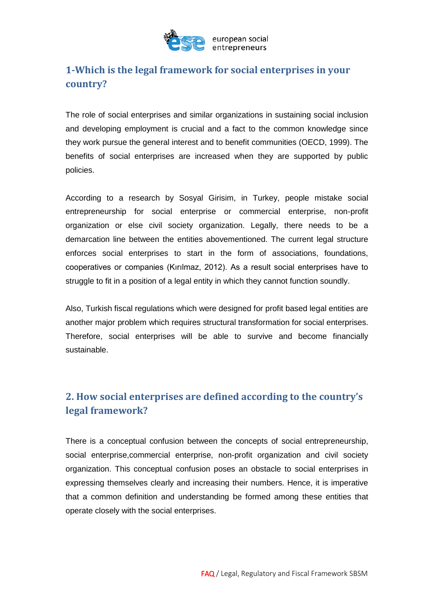

# <span id="page-2-0"></span>**1-Which is the legal framework for social enterprises in your country?**

The role of social enterprises and similar organizations in sustaining social inclusion and developing employment is crucial and a fact to the common knowledge since they work pursue the general interest and to benefit communities (OECD, 1999). The benefits of social enterprises are increased when they are supported by public policies.

According to a research by Sosyal Girisim, in Turkey, people mistake social entrepreneurship for social enterprise or commercial enterprise, non-profit organization or else civil society organization. Legally, there needs to be a demarcation line between the entities abovementioned. The current legal structure enforces social enterprises to start in the form of associations, foundations, cooperatives or companies (Kırılmaz, 2012). As a result social enterprises have to struggle to fit in a position of a legal entity in which they cannot function soundly.

Also, Turkish fiscal regulations which were designed for profit based legal entities are another major problem which requires structural transformation for social enterprises. Therefore, social enterprises will be able to survive and become financially sustainable.

# <span id="page-2-1"></span>**2. How social enterprises are defined according to the country's legal framework?**

There is a conceptual confusion between the concepts of social entrepreneurship, social enterprise,commercial enterprise, non-profit organization and civil society organization. This conceptual confusion poses an obstacle to social enterprises in expressing themselves clearly and increasing their numbers. Hence, it is imperative that a common definition and understanding be formed among these entities that operate closely with the social enterprises.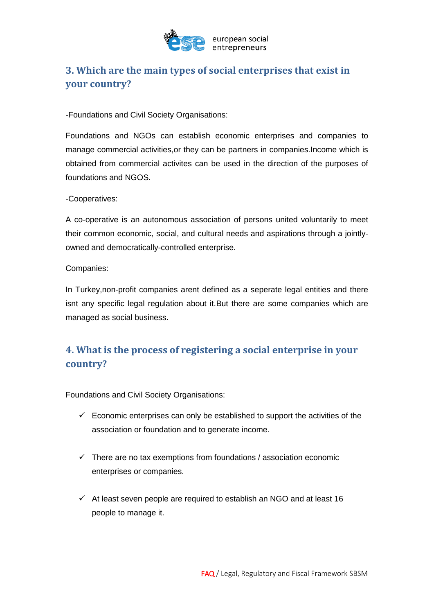

# <span id="page-3-0"></span>**3. Which are the main types of social enterprises that exist in your country?**

-Foundations and Civil Society Organisations:

Foundations and NGOs can establish economic enterprises and companies to manage commercial activities,or they can be partners in companies.Income which is obtained from commercial activites can be used in the direction of the purposes of foundations and NGOS.

#### -Cooperatives:

A co-operative is an autonomous association of persons united voluntarily to meet their common economic, social, and cultural needs and aspirations through a jointlyowned and democratically-controlled enterprise.

#### Companies:

In Turkey,non-profit companies arent defined as a seperate legal entities and there isnt any specific legal regulation about it.But there are some companies which are managed as social business.

# <span id="page-3-1"></span>**4. What is the process of registering a social enterprise in your country?**

Foundations and Civil Society Organisations:

- $\checkmark$  Economic enterprises can only be established to support the activities of the association or foundation and to generate income.
- $\checkmark$  There are no tax exemptions from foundations / association economic enterprises or companies.
- $\checkmark$  At least seven people are required to establish an NGO and at least 16 people to manage it.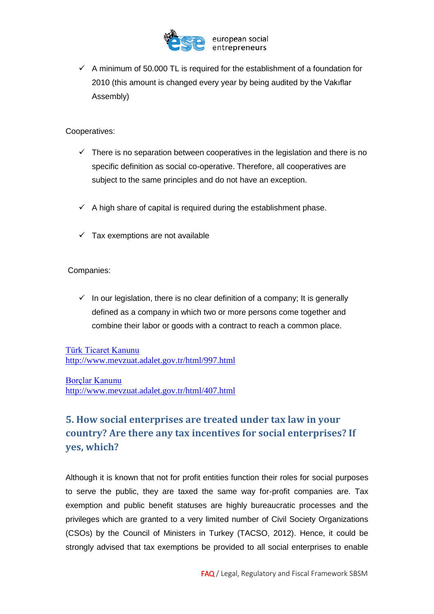

 $\checkmark$  A minimum of 50.000 TL is required for the establishment of a foundation for 2010 (this amount is changed every year by being audited by the Vakıflar Assembly)

Cooperatives:

- $\checkmark$  There is no separation between cooperatives in the legislation and there is no specific definition as social co-operative. Therefore, all cooperatives are subject to the same principles and do not have an exception.
- $\checkmark$  A high share of capital is required during the establishment phase.
- $\checkmark$  Tax exemptions are not available

Companies:

 $\checkmark$  In our legislation, there is no clear definition of a company; It is generally defined as a company in which two or more persons come together and combine their labor or goods with a contract to reach a common place.

[Türk Ticaret Kanunu](http://www.mevzuat.adalet.gov.tr/html/407.html) <http://www.mevzuat.adalet.gov.tr/html/997.html>

[Borçlar Kanunu](http://www.mevzuat.adalet.gov.tr/html/407.html) <http://www.mevzuat.adalet.gov.tr/html/407.html>

# <span id="page-4-0"></span>**5. How social enterprises are treated under tax law in your country? Are there any tax incentives for social enterprises? If yes, which?**

Although it is known that not for profit entities function their roles for social purposes to serve the public, they are taxed the same way for-profit companies are. Tax exemption and public benefit statuses are highly bureaucratic processes and the privileges which are granted to a very limited number of Civil Society Organizations (CSOs) by the Council of Ministers in Turkey (TACSO, 2012). Hence, it could be strongly advised that tax exemptions be provided to all social enterprises to enable